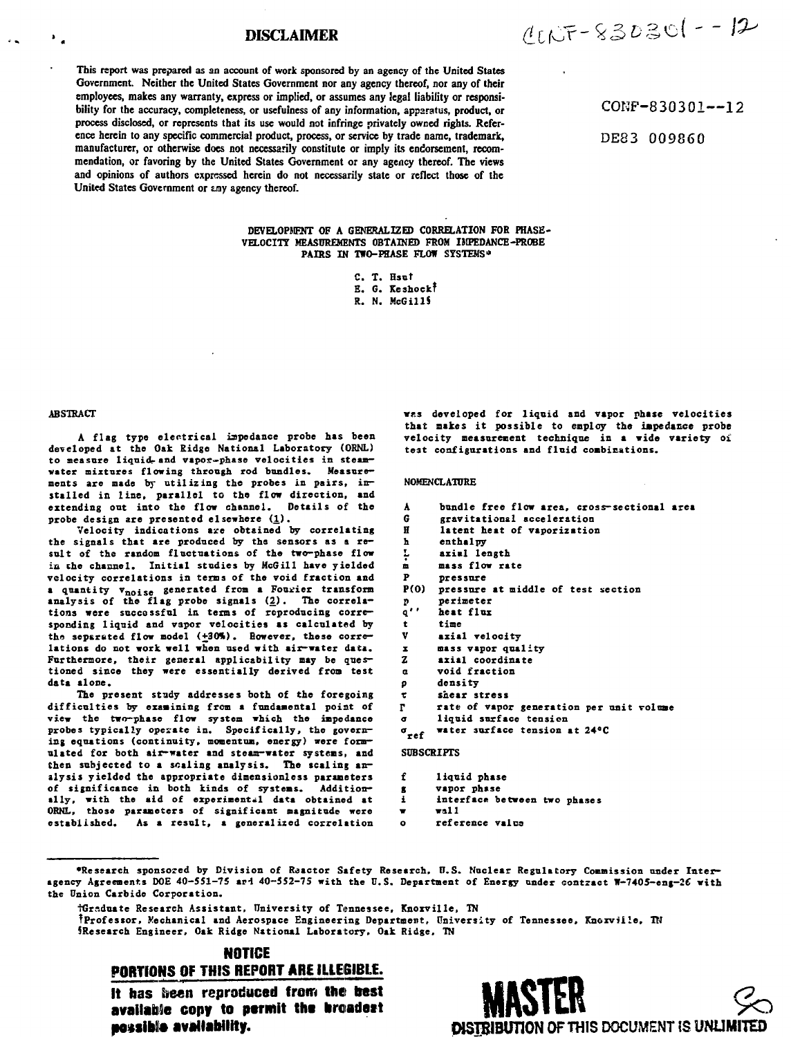# **DISCLAIMER**

**This report was prepared as an account of work sponsored by an agency of the United States Government. Neither the United States Government nor any agency thereof, nor any of their employees, makes any warranty, express or implied, or assumes any legal liability or responsibility for the accuracy, completeness, or usefulness of any information, apparatus, product, or process disclosed, or represents that its use would not infringe privately owned rights. Reference herein to any specific commercial product, process, or service by trade name, trademark, manufacturer, or otherwise does not necessarily constitute or imply its endorsement, recommendation, or favoring by the United States Government or any agency thereof. The views and opinions of authors expressed herein do not necessarily state or reflect those of the** United States Government or any agency thereof.

 $1005 - 830301 - 12$ 

COKF-830301—12

DE83 009860

**DEVELOPMENT OF A GENERALIZED CORRELATION FOR PHASE-VELOCITT MEASUREMENTS OBTAINED FROM IMPEDANCE-PROBE** PAIRS IN TWO-PHASE FLOW SYSTEMS<sup>\*</sup>

> **C. T. Hsut E. 6. Keshock! R. N. McGillS**

**ABSTRACT**

 $\mathbf{F}_{\mathbf{z}}$ 

 $\mathbf{a}$ 

A flag type electrical impedance probe has been **developed at the Oak Ridge National Laboratory (ORNL)** to measure liquid- and vapor-phase velocities in steam**water mixtures flowing through rod bandies. Measure**ments are made by utilizing the probes in pairs, installed in line, parallel to the flow direction, and extending out into the flow channel. Details of the extending out into the flow channel. probe design are presented elsewhere (1).

**Velocity indications axe obtained by correlating the signals that are produced by the sensors as a result of the random fluctuations of the two-phase flow iii che channel. Initial studies by HcGill have yielded velocity correlations in terns of the void fraction and a quantity v nois <sup>o</sup> generated froa a Fourier transform analysis of the flag probe signals (2). The correla**tions were succossful in terms of reproducing corre**sponding liquid and vapor velocities as calculated by** the separated flow model (+30%). However, these corre**lations do not work well when used with air-water data.** Furthermore, their general applicability may be ques**tioned since they were essentially derived froo test data alone.**

**The present study addresses both of the foregoing difficulties by examining from a fundamental point of view the two-phase flow system which the impedance probes typically operate in. Specifically, the governing equations (continuity, momentum, energy) were formulated for both air-water and steam-water systems, and then subjected to a scaling analysis. The scaling analysis yielded the appropriate dimensionless parameters of significance in both kinds of systems. Additionally, with the aid of experimental data obtained at ORNL, those parameters of significant magnitude were** As a result, a generalized correlation **wts developed for liquid and vapor phase velocities that makes it possible to employ the impedance probe velocity measurement technique in a wide variety oi test configurations and flnid combinations.**

#### **NOMENCLATURE**

- **A G bundle free flow area, cross-sectional area gravitational acceleration**
- **H latent heat of vaporization**
- **h enthalpy**
- **L axial length**
- **m mass flow rate**
- **P pressure**
- **P(O) pressure at middle of test section**
- **perimeter**
- **r> q'' heat flux**
- **t time**
- **v axial velocity**
- **X mass vapor quality**
- **Z axial coordinate**
- **a void fraction**
- **p density**
- **r shear stress**
- **rate of vapor generation per unit volume**
- **r liquid surface tension**
- **a water surface tension at 24°C**

# **SUBSCRIPTS**

- f liquid phase
- **f** vapor phase
- **g vapor phase i interface between two phases**
- 
- **w wall o reference vales**

# **NOTICE**

# PORTIONS OF THIS REPORT **ARE** ILLEGIBLE.

It has lieen reproduced from the best available copy to **permit the hroadett posslbte availability. MASTER**



**<sup>•</sup>Research sponsored by Division of Reactor Safety Research, U.S. Nuclear Regulatory Commission under Interagency Agreements DOE 40-551-75 arl 40-552-75 with the U.S. Department of Energy under contract W-7405-enj-2C with the Union Carbide Corporation.**

**tGr-.duate Research Assistant, University of Tennessee, Knoxville, TN fProfessor, Mechanical and Aerospace Engineering Department, University of Tennessee, Knorville, TN 5Research Engineer, Oak Ridge National Laboratory, Oak Ridge, TN**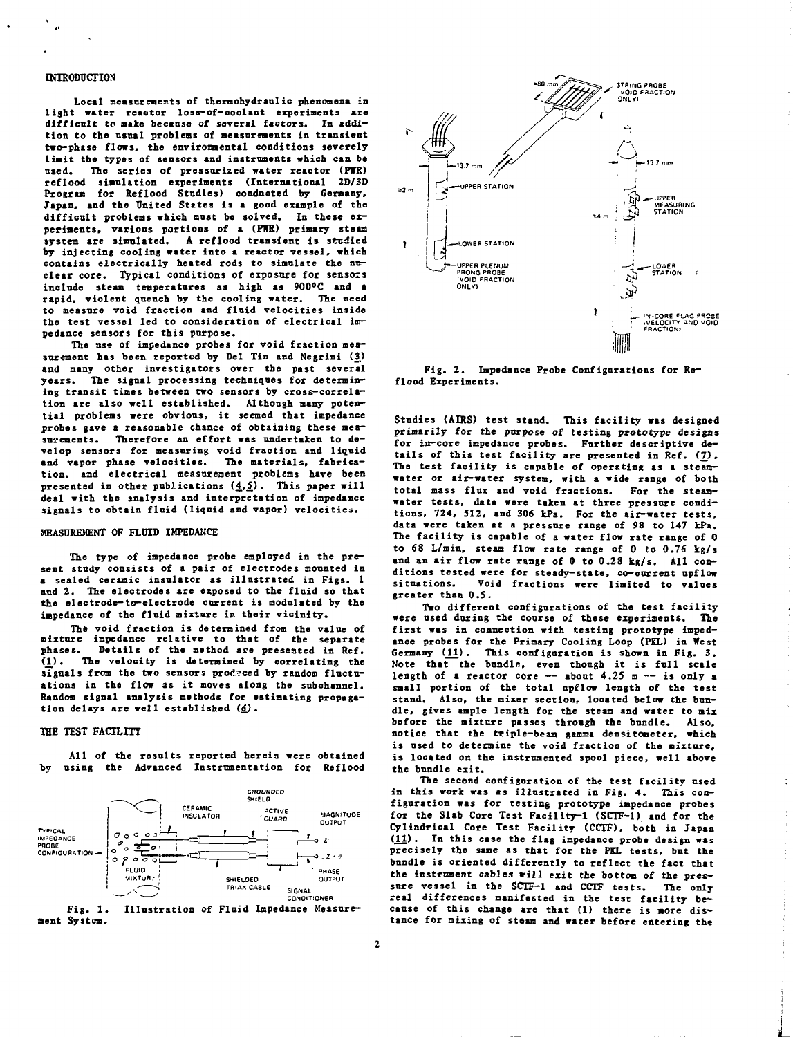## **INTRODUCTION**

**Local measurements of thermohydraulic pbenonena in light water reactor loss-of-coolant experiments are difficult to make because of several factors. In addition to the usual problems of measurements in transient two—phase flows, the environmental conditions severely limit the types of sensors and instruments which can be used. The series of pressurized water reactor (PWR) reflood simulation experiments (International 2D/3D Program for Reflood Studies) conducted by Germany, Japan, and the United States is a good example of the difficult problems which mast be solved. In these experiments, various portions of a (PPTR) primary steam system are simulated. A reflood transient is studied by injecting cooling water into a reactor vessel, which contains electrically heated rods to simulate the nuclear core. Typical conditions of exposure for sensors include steam temperatures as high as 900°C and a rapid, violent quench by the cooling water. The need to measure void fraction and fluid velocities inside the test vessel led to consideration of electrical impedance sensors for this purpose.**

**The use of impedance probes for void fraction measurement has been reported by Del Tin and Negrini (3.) and many other investigators over the past several years. The signal processing techniques for determining transit tines between two sensors by cross-correlation are also well established. Although many potential problems were obvious, it seemed that impedance probes gave a reasonable chance of obtaining these mea**surements. Therefore an effort was undertaken to de**velop sensors for measuring void fraction and liquid and vapor phase velocities. The materials, fabrication, and electrical measurement problems have been presented in other publications (£.1) • This paper will deal with the analysis and interpretation of impedance signals to obtain fluid (liquid and vapor) velocities.**

#### **MEASUREMENT OF FLUID IMPEDANCE**

**The type of impedance probe employed in the present study consists of a pair of electrodes mounted in a sealed ceramic insulator as illustrated in Figs. 1 asd 2. The electrodes are exposed to the fluid so that the electrode-to-electrode current is modulated by the impedance of the fluid mixture in their vicinity.**

**The void fraction is determined from the value of mixture impedance relative to that of the separate** phases. Details of the method are presented in Ref.<br>(1). The velocity is determined by correlating the **(1) • The velocity is determined by correlating the** signals from the two sensors produced by random fluctu**ations in the flow as it moves along the subchannel. Random signal analysis methods for estimating propagation delays are well established (<£).**

# **THE TEST FACILITY**

**All of the resnlts reported herein were obtained by using the Advanced Instrumentation for Reflood**







**Fig. 2. Impedance Probe Configurations for Reflood Experiments.**

**Studies (AIRS) test stand. This facility was designed primarily for the purpose of testing prototype designs for in-core impedance probes. Further descriptive details of this test facility are presented in Sef. (7). The test facility is capable of operating as a steamwater or air-water system, with a wide range of both total mass flux and void fractions. For the steamwater tests, data were taken at three pressure conditions, 724, 512, and 306 kPa. For the air-water tests, data were taken at a pressure range of 98 to 147 kPa. The facility is capable of a water flow rate range of 0 to 68 L/min, steam flow rate range of 0 to 0.76 kg/s and an air flow rate range of 0 to 0.28 kg/s. All conditions tested were for steady-state, co-current upflow situations. Void fractions were limited to values greater than 0.5.**

**Two different configurations of the test facility were used during the course of these experiments. The first was in connection with testing prototype impedance probes for the Primary Cooling Loop (PEL) in West Germany (11). This configuration is shown in Fig. 3. Note that the bundle, even though it is full scale length of a reactor core — about 4.25 m — is only a small portion of the total upflow length of the test stand. Also, the mixer section, located below the bundle, gives ample length for the steam and water to mix before the mixture passes through the bundle. Also, notice that the triple-beam gamma densitometer, which is used to determine the void fraction of the mixture. is located on the instrumented spool piece, well above the bundle exit.**

**The second configuration of the test facility used in this work was as illustrated in Fig. 4. This configuration was for testing prototype impedance probes for the Slab Core Test Facility-1 (SCTF-1) and for the Cylindrical Core Test Facility (CCTF), both in Japan (11). In this case the flag impedance probe design was precisely the same as that for the PKL tests, but the bundle is oriented differently to reflect the fact that the instrument cables will exit the bottom of the pressure vessel in the SCTF-1 and CCTF tests. The only real differences manifested in the test facility because of this change are that (1) there is more dis**tance for mixing of steam and water before entering the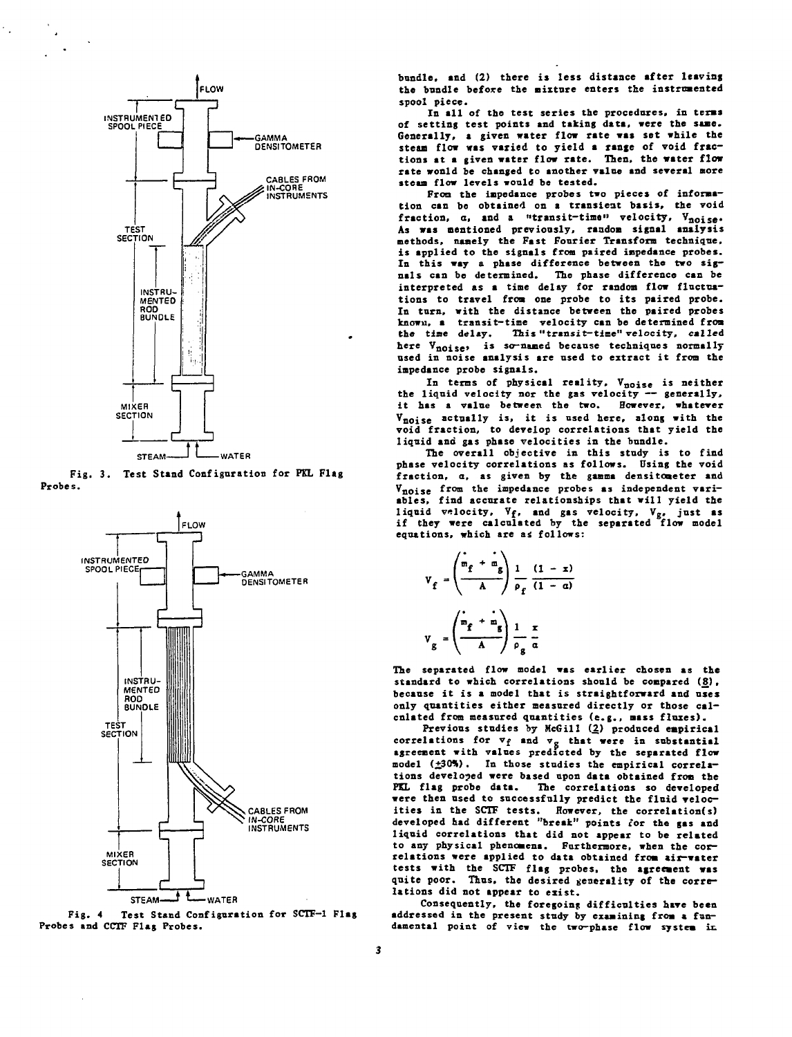

**Fig. 3. Test Stand Configuration for PKL Flag Probes.**



**Fig. 4 Test Stand Configuration for SCTF-1 Flag Probes and CCTF Flag Probes.**

**bundle, and (2) there is less distance after leaving the bundle before the nixture enters the instrumented spool piece.**

In all of the test series the procedures, in terms **of setting test points and taking data, were the saae. Generally, a given water flow rate was set while the steam flow was varied to yield a range of void fractions at a given water flow rate. Then, the water flow rate wonld be changed to another value and several more steaa flow levels would be tested.**

**Froo the iapedance probes two pieces of information can be obtained on a transient basis, the void** fraction,  $a$ , and a "transit-time" velocity,  $V_{noise}$ . **As was mentioned previously, random signal analysis methods, naaely the Fast Fourier Transform technique, is applied to the signals from paired impedance probes. In this way a phase difference between the two signals can be determined. The phase difference can be interpreted as a time delay for random flow fluctuations to travel from one probe to its paired probe. In turn, with the distance between the paired probes known, a transit-time velocity can be determined from the time delay. This "transit-time" velocity, called** here V<sub>noise</sub>, is so-named because techniques normally **used in noise analysis are used to extract it from the impedance probe signals.**

**In terms of physical reality, Vnoise is neither the liquid velocity nor the gas velocity — generally, it has a value between the two. However, whatever** V<sub>noise</sub> actually is, it is used here, along with the **void fraction, to develop correlations that yield the liquid and gas phase velocities in the bundle.**

**The overall objective in this study is to find phase velocity correlations as follows. Using the void fraction, a, as given by the gamma densitoaeter and** Vnoise from the impedance probes as independent vari**ables, find accurate relationships that will yield the liquid velocity, Vf, and gas velocity, Vg. just as if they were calculated by the separated flow model equations, which are &i follows:**

$$
V_{f} = \left(\frac{\dot{m}_{f} + \dot{m}_{g}}{A}\right) \frac{1}{\rho_{f}} \frac{(1 - x)}{(1 - \alpha)}
$$

$$
V_{g} = \left(\frac{\dot{m}_{f} + \dot{m}_{g}}{A}\right) \frac{1}{\rho_{g}} \frac{x}{\alpha}
$$

**The separated flow model was earlier chosen as the** standard to which correlations should be compared (8), **because it is a model that is straightforward and uses only quantities either measured directly or those calculated from measured quantities (e.g., mass fluxes).**

**Previous studies by HcGill (2) produced empirical correlations for Vf and v. that were in substantial agreement with values predicted by the separated flow model (±30%). In those studies the empirical correlations developed were based upon data obtained from the PKL flag probe data. The correlations so developed were then used to successfully predict the fluid velocities in the SCTF tests. However, the correlation(s) developed had different "break" points tor the gas and liquid correlations that did not appear to be related to any physical phenomena. Furthermore, when the correlations were applied to data obtained from air-water tests with the SCTF flag probes, the agreement was quite poor. Thus, the desired generality of the correlations did not appear to exist.**

**Consequently, the foregoing difficulties have been addressed in the present study by examining from a fundamental point of view the two-phase flow system in**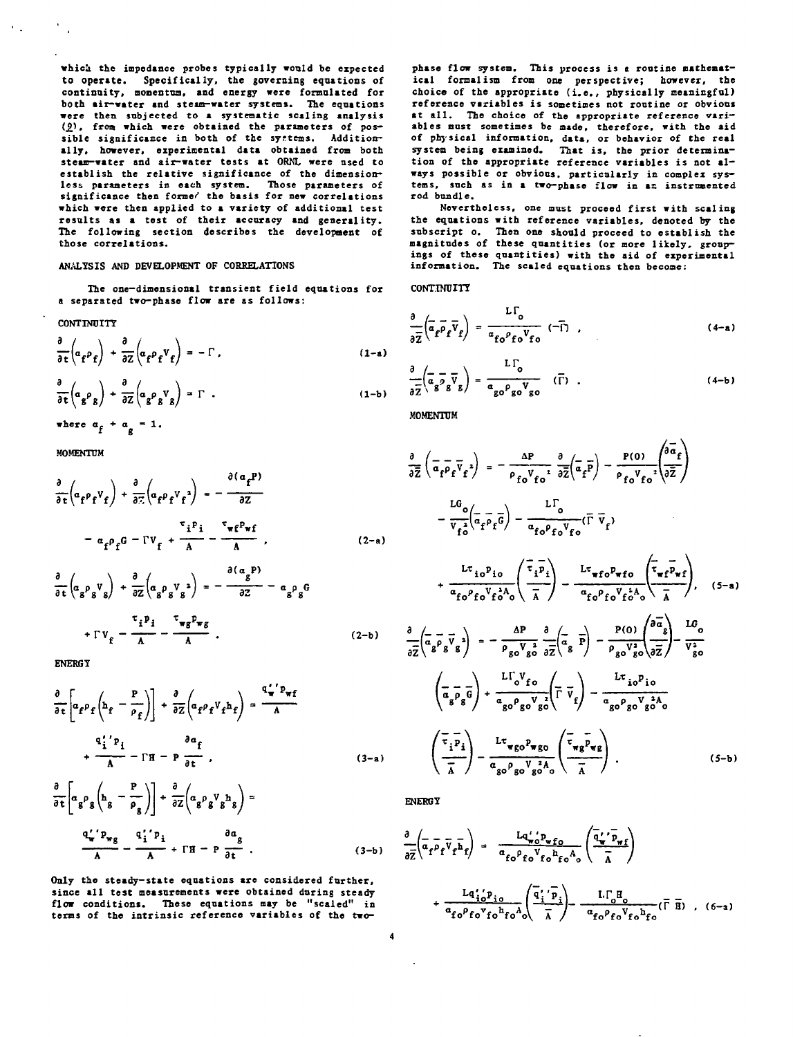**whicj the impedance probes typically would be expected to operate. Specifically, the governing equations of continuity, momentum, and energy were formaltted for both air-water and steim-water systems. The equations were then subjected to a systematic scaling analysis** (9). from which were obtained the parameters of possible significance in both of the systems. Addition**ally, however, experimental data obtained from both steam-water and air-water tests at ORNL were used to establish the relative significance of the dimensionless parameters in each system. Those parameters of significance then former' the basis for new correlations which were then applied to a variety of additional test results as a test of their accuracy and generality. The following section describes the development of those correlations.**

## **ANALYSIS AND DEVELOPMENT OF CORRELATIONS**

The one-dimensional transient field equations for **a separated two-phase flow are as follows:**

#### **CONTINUITY**

 $\mathbf{v}_{\rm{min}}$ 

$$
\frac{\partial}{\partial t} \left( a_f \rho_f \right) + \frac{\partial}{\partial z} \left( a_f \rho_f V_f \right) = - \Gamma , \qquad (1-a)
$$

$$
\frac{\partial}{\partial t} \left( \alpha_g \rho_g \right) + \frac{\partial}{\partial z} \left( \alpha_g \rho_g V_g \right) = \Gamma . \tag{1-b}
$$

where  $a_f + a_g = 1$ .

**MOMENTUM**

$$
\frac{\partial}{\partial t} \left( \alpha_f \rho_f V_f \right) + \frac{\partial}{\partial z} \left( \alpha_f \rho_f V_f^2 \right) = -\frac{\partial (\alpha_f P)}{\partial z}
$$

$$
- \alpha_f \rho_f G - \Gamma V_f + \frac{\tau_i P_i}{A} - \frac{\tau_{\pi} \rho_{\pi} f}{A} \qquad (2-a)
$$

$$
\frac{\partial}{\partial t} \left( \alpha_g \rho_g V_g \right) + \frac{\partial}{\partial z} \left( \alpha_g \rho_g V_g^2 \right) = -\frac{\partial (\alpha_g P)}{\partial z} - \alpha_g \rho_g G
$$
\n
$$
+ \Gamma V_g - \frac{\tau_i P_i}{A} - \frac{\tau_{\psi g} P_{\psi g}}{A} . \tag{2-b}
$$

**ENERGY**

$$
\frac{\partial}{\partial t} \left[ \alpha_f P_f \left( h_f - \frac{P}{P_f} \right) \right] + \frac{\partial}{\partial z} \left( \alpha_f P_f V_f h_f \right) = \frac{q_v' P_{wf}}{A}
$$
\n
$$
+ \frac{q_i' P_i}{A} - \Gamma H - P \frac{\partial \alpha_f}{\partial t} \qquad (3-a)
$$

$$
\frac{\partial}{\partial t} \left[ \alpha_g \rho_g \left( h_g - \frac{P}{\rho_g} \right) \right] + \frac{\partial}{\partial z} \left( \alpha_g \rho_g V_g h_g \right) =
$$
  

$$
\frac{q'_w' P_{wg}}{A} - \frac{q'_i' P_i}{A} + \Gamma H - P \frac{\partial \alpha_g}{\partial t} .
$$
 (3-b)

**Only the steady-state equations are considered further, since all test measurements were obtained during steady flow conditions. These equations may be "scaled" in terns of the intrinsic reference variables of the two-**

phase flow system. This process is a routine mathemat**ical formalism from one perspective; however, the choice of the appropriate (i.e. , physically meaningful) reference variable s is sometimes not routine or obvious at all . The choice of the appropriate reference variables mast sometimes be made, therefore, with the aid of physical information, data, or behavior of the real system being examined. That is, the prior determina**tion of the appropriate reference variables is not always possible or obvious, particularly in complex sys**tems, such as in a two-phase flow in ac instrumented rod bundle.**

**Nevertheless, one must proceed first with scaling the equations with reference variables, denoted by the subscript o. Then one should proceed to establish the** magnitudes of these quantities (or more likely, group**ings of these quantities) with the aid of experimental information. The scaled equations then become:**

**CONTINUITY**

$$
\frac{\partial}{\partial \overline{z}} \left( \overline{\alpha}_f \overline{\rho}_f \overline{v}_f \right) = \frac{\Gamma \Gamma_0}{\alpha_{f0} \rho_{f0} v_{f0}} \quad (-\overline{\Gamma}) \quad , \tag{4-a}
$$

$$
\frac{\partial}{\partial \overline{Z}} \left( \overline{\alpha} \overline{\sigma} \overline{V} \overline{V} \right) = \frac{L \Gamma_0}{\alpha_{g0} \rho_{g0} V_{g0}} \quad (\overline{\Gamma}) \quad . \tag{4-b}
$$

**MOMENTUM**

$$
\frac{\partial}{\partial \overline{z}} \left( \overline{a} - \overline{p} \overline{q} \overline{q} \right) = -\frac{\Delta P}{\rho_{f0} V_{f0}} \frac{\partial}{\partial \overline{z}} \left( \overline{a} - \overline{p} \right) - \frac{P(0)}{\rho_{f0} V_{f0}} \frac{\partial}{\partial \overline{z}} \right)
$$

$$
-\frac{LG_{0}}{V_{f0}} \left( \overline{a} - \overline{p} \overline{q} \right) - \frac{LT_{0}}{\alpha_{f0} \rho_{f0} V_{f0}} (\overline{\Gamma} \overline{V}_{f})
$$

$$
+\frac{L \tau_{io} P_{io}}{\alpha_{f0} \rho_{f0} V_{f0}} \left( \frac{\overline{\tau}_{i} \overline{p}_{i}}{\overline{\lambda}} \right) - \frac{L \tau_{\text{wfo}} \overline{P_{\text{wfo}}} \left( \overline{\tau}_{\text{wfo}} \overline{P_{\text{wfo}}} \right)}{\alpha_{f0} \rho_{f0} V_{f0} \lambda_{0}} \frac{\partial}{\overline{\lambda}} \right), \quad (5-a)
$$

$$
\frac{\partial}{\partial \overline{z}} \left( \overline{a} - \overline{p} \overline{q} \right) = -\frac{\Delta P}{\rho_{g0} V_{g0}} \frac{\partial}{\partial \overline{z}} \left( \overline{a} - \overline{p} \right) - \frac{P(0)}{\rho_{g0} V_{g0} \lambda_{0}} \frac{\partial \overline{z}}{\partial \overline{z}} \right) - \frac{LG_{0}}{V_{g0} \lambda_{0}} \frac{\partial}{\partial \overline{z}} \left( \overline{q} \overline{q} \right) - \frac{Q \overline{q} \overline{q}}{\rho_{g0} V_{g0}} \frac{\partial}{\partial \overline{z}} \left( \overline{q} \overline{q} \right) - \frac{Q \overline{q} \overline{q}}{\rho_{g0} V_{g0}} \frac{\partial}{\partial \overline{z}} \right) - \frac{Q \overline{q} \overline{q}}{\rho_{g0} V_{g0}} \frac{\partial}{\partial \overline{z}} \left( \overline{q} \overline{q} \right) - \frac{Q \overline{q} \overline{q}}{\alpha_{g0} \rho_{g0
$$

**ENERGY**

 $\ddot{\phantom{a}}$ 

$$
\frac{\partial}{\partial \overline{Z}} \left( \overline{a}_f \overline{p}_f \overline{v}_f \overline{h}_f \right) = \frac{Lq' \rho_{wfo}}{a_{fo} \rho_{fo} V_{fo} h_{fo} A_o} \left( \frac{\overline{q}'_v \overline{p}_{wf}}{\overline{A}} \right)
$$
  
+ 
$$
\frac{Lq'_{io} \rho_{io}}{a_{fo} \rho_{fo} v_{fo} h_{fo} A_o} \left( \frac{\overline{q}'_i \overline{p}_i}{\overline{A}} \right) - \frac{L \Gamma_o H_o}{a_{fo} \rho_{fo} V_{fo} h_{fo}} \left( \overline{\Gamma} \overline{H} \right) , (6-a)
$$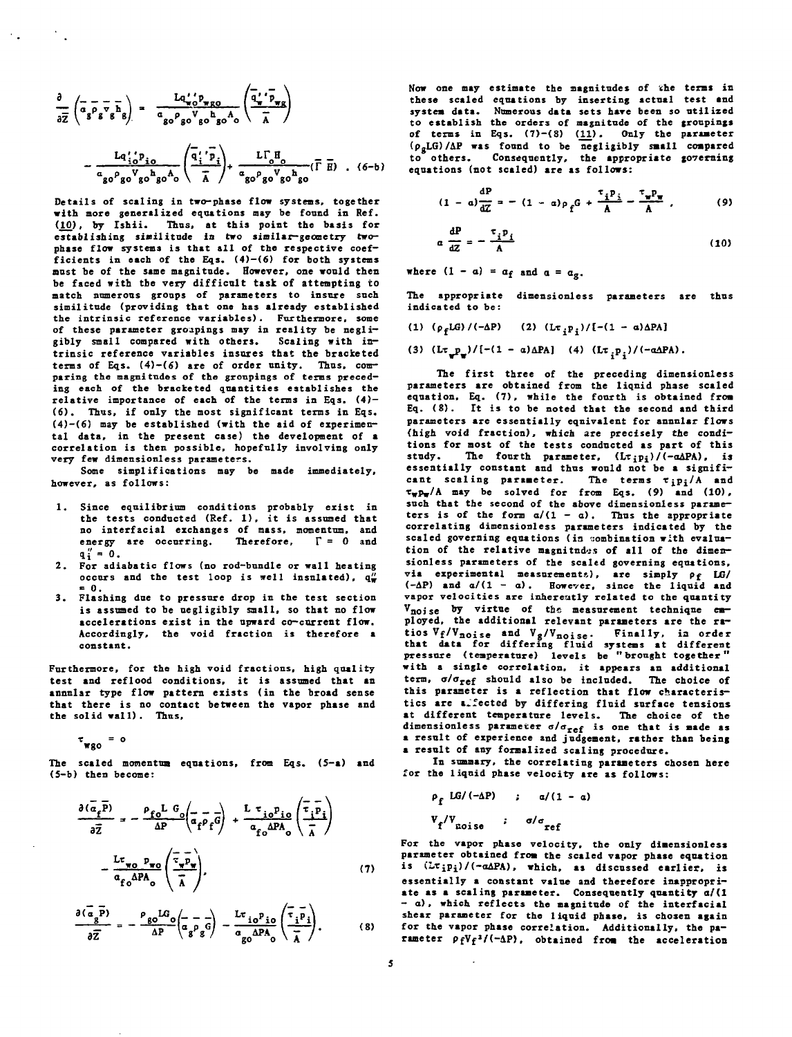$$
\frac{\partial}{\partial \overline{z}} \left( \overline{a_g} \overline{p_g} \overline{v_g} \overline{h_g} \right) = \frac{L q' \overline{p_g} \overline{p_g}}{a_{g0} \overline{p_g} \overline{v_g} \overline{h_g} A_0} \left( \frac{\overline{q'} \overline{v_g}}{\overline{A}} \right)
$$

$$
- \frac{L q' \overline{p_g}}{a_{g0} \overline{p_g} \overline{v_g} \overline{h_g} A_0} \left( \frac{\overline{q'} \overline{r} \overline{p_g}}{\overline{A}} \right) + \frac{L \Gamma_0 H_0}{a_{g0} \overline{p_g} \overline{v_g} \overline{h_g} \left( \overline{\Gamma} \overline{H} \right) . (6-b)}
$$

 $\mathcal{F}_{\text{max}}$  .

**Details of scaling in two-phase flow systems, together with more generalized equations may be found in Ref. (10). by Ishii. Thus, at this point the basis for establishing similitude in two similar-geometry twophase flow systems is that all of the respective coefficients in each of the Eqs. (4)—(6) for both systems must be of the sane magnitude. However, one would then be faced with tbe very difficult task of attempting to match numerous groups of parameters to insure such similitude (providing that one has already established the intrinsic reference variables). Furthermore, some of these parameter groupings may in reality be negligibly small compared with others. Scaling with intrinsic reference variables insures that the bracketed terms of Eqs. (4)—(6) are of order unity. Thus, comparing the magnitudes of the groupings of terms preceding each of the bracketed quantities establishes the relative importance of each of the terms in Eqs. (4) — (6). Thus, if only the most significant terms in Eqs. (4)-(6) may be established (with the aid of experimental data, in the present case) the development of a correlation is then possible, hopefully involving only very few dimensionless parameters.**

**Some simplifications may be made immediately, however, as follows:**

- **1. Since equilibrium conditions probably exist in the tests conducted (Ref. 1), it is assumed that no interfacial exchanges of mass, momentum, and** energy are occurring. Therefore,  $\Gamma = 0$  and  $q''_i = 0.$
- **2. For adiabatic flows (no rod-bundle or wall heating occurs and the test loop is well insulated),**  $q_{\overline{x}}^{\mu}$ **- 0.**
- **3. Flashing due to pressure drop in the test section is assumed to be negligibly small, so that no flow accelerations exist in the upward co-current flow. Accordingly, the void fraction is therefore a constant.**

**Furthermore, for the high void fractions, high quality test and reflood conditions, it is assumed that an annular type flow pattern exists (in the broad sense that there is no contact between the vapor phase and** the solid wall). Thus,

 $\tau_{\text{wgo}} = 0$ 

**The scaled momentum equations, from Eqs. (S-a) and (5-b) then become:**

$$
\frac{\partial(\overline{a}_{f}\overline{P})}{\partial \overline{Z}} = -\frac{\rho_{f0}L}{\Delta P} \left(\overline{a}_{f}\overline{\rho}_{f}\overline{G}\right) + \frac{L \tau_{j0}P_{j0}}{a_{f0}\Delta P A_{0}} \left(\frac{\overline{\tau}_{i}\overline{P}_{i}}{\overline{\lambda}}\right)
$$

$$
-\frac{L \tau_{w0}P_{w0}}{a_{f0}\Delta P A_{0}} \left(\frac{\overline{\tau}_{w}\overline{P}_{w}}{\overline{\lambda}}\right), \qquad (7)
$$

$$
\frac{\partial(\vec{a}_g \vec{P})}{\partial \vec{Z}} = -\frac{\rho_{g0}LG_0}{\Delta P} \left(\vec{a}_g \vec{P}_g \vec{G}\right) - \frac{L\tau_{io}P_{io}}{a_{g0}\Delta P A_0} \left(\frac{\vec{\tau}_{ip}}{\vec{\lambda}}\right). \tag{8}
$$

**Now one may estimate the magnitudes of the terms in these scaled equations by inserting actual test and systea data. Numerous data sets hare been so utilized to establish the orders of magnitude of the groupings of terms in Eqs. (7)-{S> (11). Only the paraaeter (pgLO/AP was found to be negligibly small** (p<sub>g</sub>LG)/AP was found to be negligibly small compared<br>to others. Consequently, the appropriate governing **equations (not sealed) are as follows: governing**

$$
(1 - a)\frac{dP}{dZ} = -(1 - a)\rho_f G + \frac{\tau_i P_i}{A} - \frac{\tau_w P_w}{A} ,
$$
 (9)

$$
a \frac{dP}{dz} = -\frac{\tau_i p_i}{A} \tag{10}
$$

where  $(1 - a) = a_f$  and  $a = a_g$ .

**The appropriate dimensionless parameters are thus indicated to be:**

- **(1) (pfLG)/(-AP) (2) -(l a)APA]**
- **(3) (Lτ\_p\_)/[-(1 α)ΔPA]** (4) **(Lτ**<sub>1</sub>p<sub>1</sub>)/(-αΔPA).

**The first three of the preceding dimensionless parameters are obtained from the liqnid phase scaled equation, Eq. (7), while the fourth is obtained froa Eq. (8). It is to be noted that the second and third parameters are essentially equivalent for annular flows (high void fraction), which are precisely the conditions for most of the tests conducted as part of this** study. The fourth parameter,  $(Lt_{i}p_{i})/(-a\Delta PA)$ , is **essentially constant and thus would not be a significant scaling parameter. The terms r^pj/A and Twpw/A may be solved for from Eqs. (9) and (10), such that the second of the above dimensionless parame**ters is of the form  $a/(1 - a)$ . Thus the appropriate **correlating dimensionless parameters indicated by the** scaled governing equations (in combination with evalua**tion of the relative magnitudes of all of the dimensionless parameters of the scaled governing equations, via experimental measurements), are simply Pf LG/ (-AP) and a/(l - a). However, since the liquid and vapor velocities are inherently related to the quantity** V<sub>noise</sub> by virtue of the measurement technique em**ployed, the additional relevant parameters are the ratios V <sup>f</sup> / V nois <sup>e</sup> and V <sup>g</sup> / V noise . Finally, ia order that data for differing fluid systems at different pressure (temperature) levels be "brought together" with a single correlation, it appears an additional tern, a/aTef should also be included. The choice of this parameter is a reflection that flow characteristics are a.fected by differing fluid surface tensions at different temperature levels. The choice of the dimensionless parameter a/azef is one that is made as a result of experience and judgeaent, rather than being a result of any formalized scaling procedure.**

**In summary, the correlating parameters chosen here for the liquid phase velocity are as follows:**

$$
\rho_f LG/(-\Delta P) \qquad ; \qquad \alpha/(1 - \alpha)
$$
  

$$
V_f/V_{\text{noise}} \qquad ; \qquad \sigma/\sigma_{\text{ref}}
$$

**For the vapor phase velocity, the only dimensionless parameter obtained froa the scaled vapor phase equation is (L.Tipi)/(-oAPA), which, as discussed earlier, is essentially a constant value and therefore inappropriate as a scaling parameter. Consequently quantity a/(l - a), which reflects the magnitude of the interfacial shear parameter for the liquid phase, is chosen again for the vapor phase correlation. Additionally, the parameter PfVf»/(-AP), obtained froa the acceleration**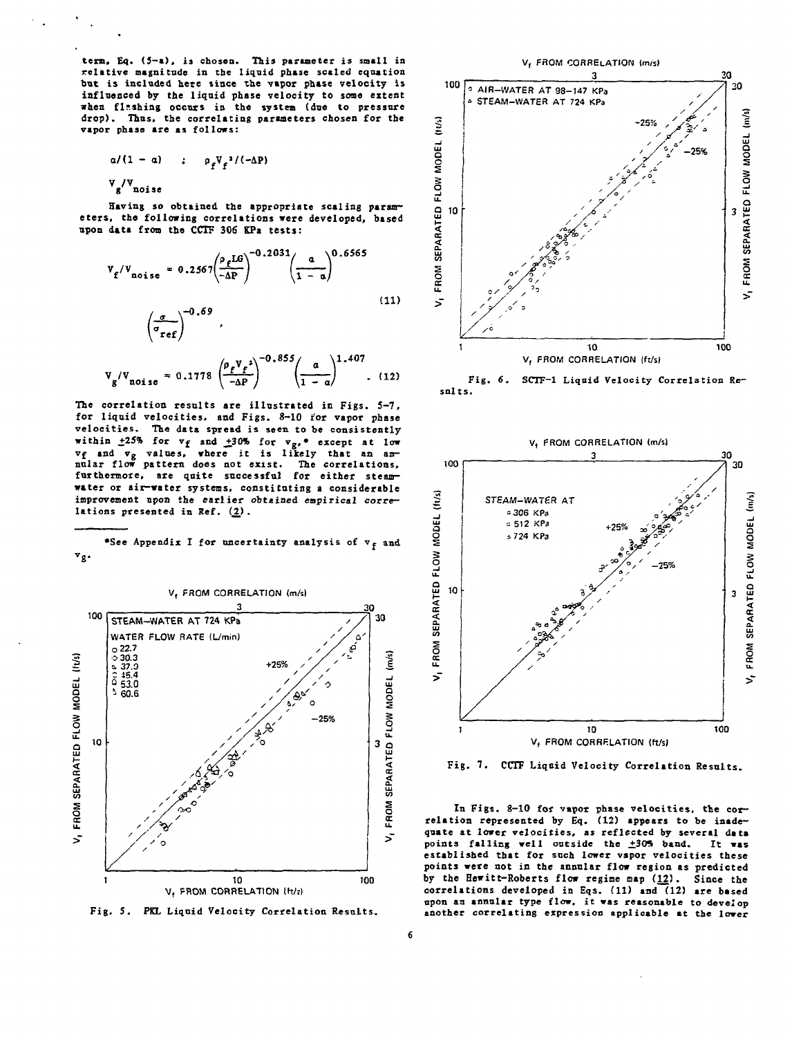**term. Eq. <5-a), is chosen. This parameter is small in relative magnitude in the liquid phase scaled equation but is included here since the vapor phase velocity Is influenced by the liquid phase velocity to some extent when flashing occurs is the system (due to pressure drop). Thus, the correlating parameters chosen for the vapor phase are as follows:**

$$
\alpha/(1-\alpha) \qquad ; \qquad \rho_{\epsilon} V_{\epsilon}^{-2}/(-\Delta P)
$$

**V /V . g noise**

**Having so obtained the appropriate scaling parameters, the following correlations were developed, based upon data from the CCTF 306 KPa tests:**

$$
V_{f}/V_{\text{noise}} = 0.2567 \left(\frac{\rho_{f}LG}{-\Delta P}\right)^{-0.2031} \left(\frac{a}{1-a}\right)^{0.6565}
$$
\n(11)\n
$$
\left(\frac{\sigma}{\sigma_{ref}}\right)^{-0.69},
$$
\n
$$
V_{g}/V_{\text{noise}} = 0.1778 \left(\frac{\rho_{f}V_{f}^{2}}{-\Delta P}\right)^{-0.855} \left(\frac{a}{1-a}\right)^{1.407},
$$
\n(12)

**The correlation results are illustrated in Figs. 5-7, for liquid velocities, and Figs. 8-10 tor vapor phase velocities. The data spread is seen to be consistently** within  $\pm 25\%$  for  $v_f$  and  $\pm 30\%$  for  $v_g$ , • except at low **Vf and Vg values, where it is likely that an an**nular flow pattern does not exist. furthermore, are quite successful for either steam**water or air-water systems, constituting a considerable improvement upon the earlier obtained empirical correlations presented in Ref.** *(2) .*





**Fig, 5. PKL Liquid Velocity Correlation Results.**



**Fig. 6. SCTF-1 Liquid Velocity Correlation Results.**



**Fig. 7. CCTF Liqoid Velocity Correlation Results.**

In Figs. 8-10 for vapor phase velocities, the cor**relation represented by Eq. (12) appears to be inadequate at lower velocities, as reflected by several data** points falling well outside the .**1305 band.** It was established that for such lower vapor velocities these **points were not in the annular flow region as predicted by the Hewitt-Roberts flow regime map (12). Since the correlations developed in Eqs. (11) and (12) are based upon an annular type flow, it was reasonable to develop another correlating expression applicable at the lower**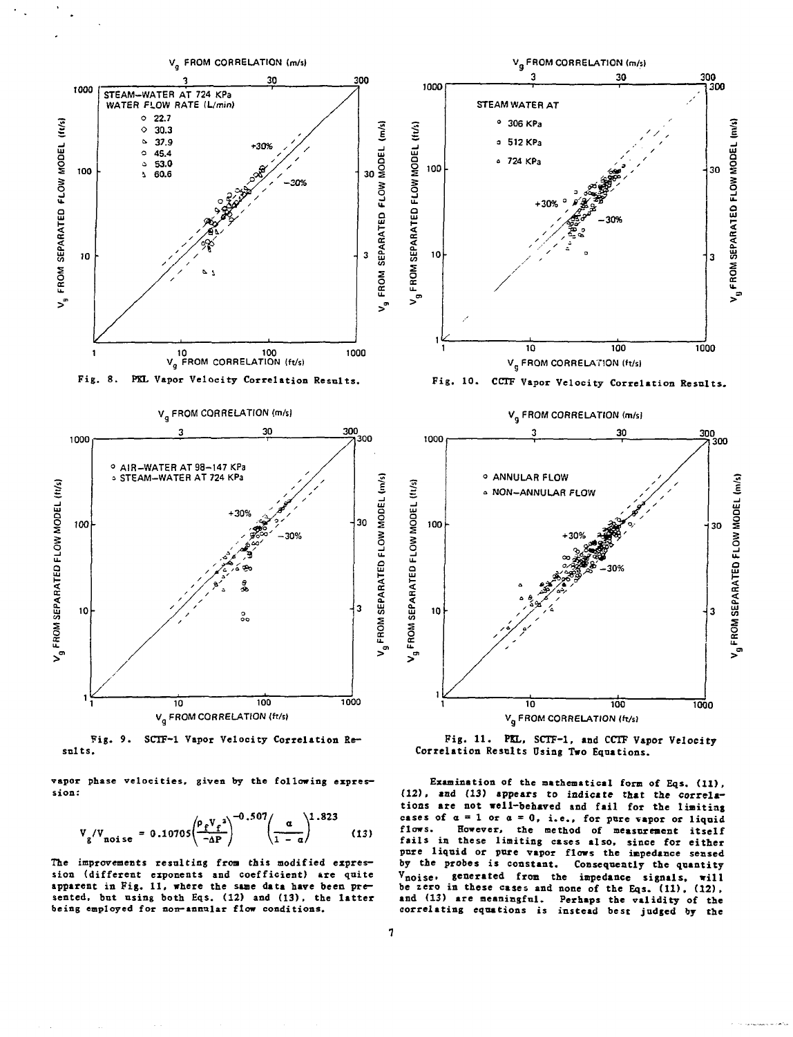

**Fig. 9. SCTF-1 Vapor Velocity Correlation Re sslts.**

**vapor phase velocities, given by the following expression:**

$$
V_{g}/V_{\text{noise}} = 0.10705 \left(\frac{\rho_f V_f^2}{-\Delta P}\right)^{-0.507} \left(\frac{\alpha}{1-\alpha}\right)^{1.823}
$$
 (13)

**The improvements resulting from this modified expression (different exponents and coefficient) are quite** apparent in Fig. 11, where the same data have been pre**sented, but using both Eqs. (12) and (13), the latter** being employed for non-annular flow conditions.

**Fig. 11. PKL, SCTF-1, and CCTF Vapor Velocity Correlation Results Using Two Equations.**

ui **a**

**§**

**FRO** 

V<sub>9</sub> FROM SEPARATED FLOW MODEL (m/s)

**Examination of the mathematical form of Eqs. (11), (12), and (13) appears to indicate that** *the* **correlations are not well-behaved and fail for the linitiag** cases of  $\alpha = 1$  or  $\alpha = 0$ , i.e., for pure vapor or liquid **flows. However, the method of measurement itself fails in these limiting cases also, since for either pure liquid or pure vapor flows the impedance sensed by the probes is constant. Consequently the quantity v**, will present to constant: Consequently the quantity<br>V<sub>noise</sub>, generated from the impedance signals, will **be zero in these cases and none of the Eqs. (11), (12), and (13) are meaningful. Perhaps the validity of the correlating equations is instead best judged by the**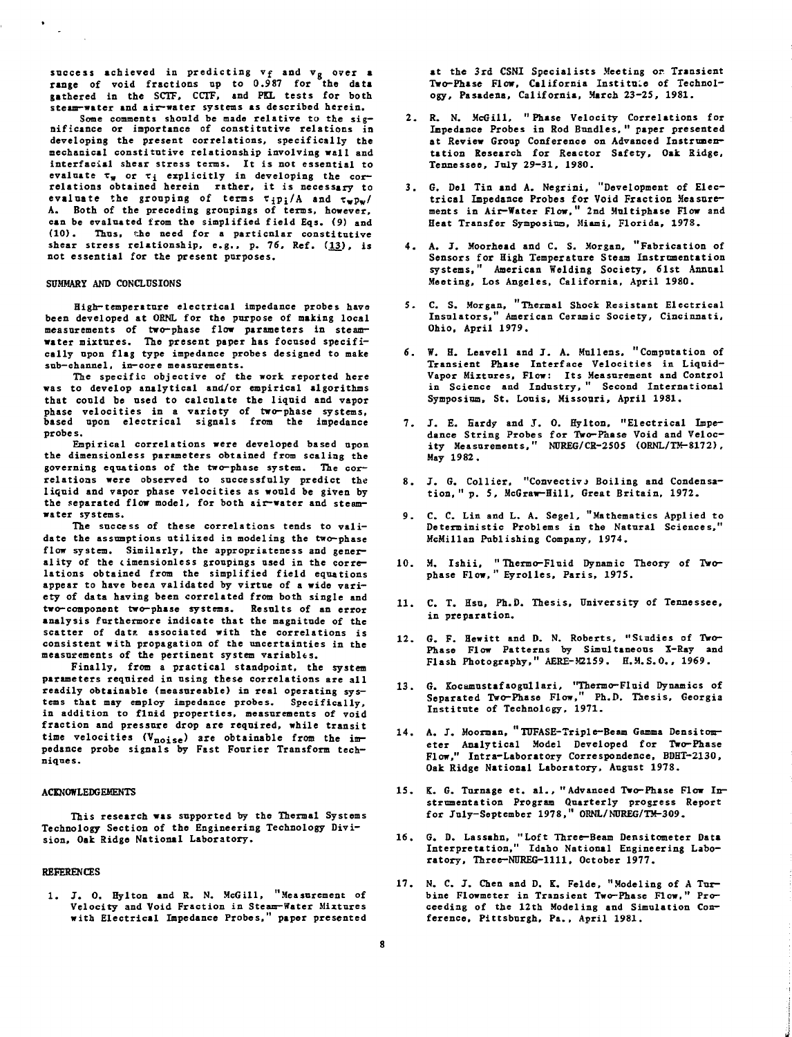**success achieved in predicting vf and Vg over a range of void fractions up to 0.987 for the data gathered in the SCTF, CCTF, and PEL tests for both steam-water and air-water systems as described herein.**

**Some comments should be made relative to the significance or importance of constitutive relations in developing the present correlations, specifically the mechanical constitutive relationship involving wall and interfacial shear stress terms. It is not essential to evaluate Tw or T£ explicitly in developing the cor-relations obtained herein rather, it is necessary to evaluate the grouping of terms tjpj/A and twpw/ A. Both of the preceding groupings of terms, however, can be evaluated from the simplified field Eqs. (9) and (10). Thus, the need for a particular constitutive** shear stress relationship, e.g., p. 76, Ref. (13), is **not essential for the present purposes.**

#### **SUMMARY AND CONCLUSIONS**

 $\sim$ 

High-temperature electrical impedance probes have been developed at ORNL for the purpose of making local **measurements of two-phase flow parameters in steamwater mixtures. The present paper has focused specifi**  cally upon flag type impedance probes designed to make sub-channel, in-core measurements.

The specific objective of the work reported here was to develop analytical and/or empirical algorithms that could be used to calculate the liquid and vapor phase velocities in a variety of two-phase systems, **based upon electrical signals from the impedance probes.**

Empirical correlations were developed based upon **the dimensionless parameters obtained from scaling the governing equations of the two-phase system. The correlations were observed to successfully predict the liquid and vapor phase velocities as would be given by the separated flow model, for both air-water and steamwater systems.**

**The success of these correlations tends to validate the assumptions utilized is modeling the two-phase flow system. Similarly, the appropriateness and generality of the cimensionless groupings used in the correlations obtained from the simplified field equations appear to have been validated by virtue of a wide variety of data having been correlated from both single and two-component two-phase systems. Results of an error analysis furthermore indicate that the magnitude of the** scatter of datz associated with the correlations is **consistent with propagation of the uncertainties in the measurements of the pertinent system variables.**

**Finally, from a practical standpoint, the system parameters required in using these correlations are all readily obtainable (measureable) in real operating systems that may employ impedance probes. Specifically, in addition to fluid properties, measurements of void fraction and pressure drop are required, while transit time velocities (Vnojse ) are obtainable from the im-pedance probe signals by Fast Fourier Transform techniques.**

## **ACKNOWLEDGEMENTS**

**This research was supported by the Thermal Systems Technology Section of the Engineering Technology Division, Oak Eidge National Laboratory.**

# **REFERENCES**

**1. J. 0. Hy 1 ton and R. N. McGill, "Measurement of Velocity and Void Fraction in Steam-Water Mixtures with Electrical Impedance Probes," paper presented**

**at the 3rd CSNI Specialists Meeting or Transient** Two-Phase Flow, California Institute of Technol**ogy, Pasadena, California, March 23-25, 1981.**

- **2. R. N. McGill, "Phase Velocity Correlations for Impedance Probes in Rod Bundles. " paper presented at Review Group Conference on Advanced Instrumentation Research for Reactor Safety, Oak Ridge, Tennessee, July 29-31, 1980.**
- **3. G. Del Tin and A. Negrini, "Development of Electrical Impedance Probes for Void Fraction Measurements in Air-Water Flow," 2nd Multiphase Flow and Heat Transfer Symposiua, Miami, Florida, 1978.**
- **4 . A. J. Moorhead and C. S. Morgan, "Fabrication of Sensors for High Temperature Steaa Instrumentation systems," American Welding Society, 61st Annual Meeting, Los Angeles, California, April 1980.**
- **5. C. S. Morgan, "Thermal Shock Resistant Electrical Insulators," American Ceramic Society, Cincinnati, Ohio, April 1979.**
- **6. W. H. Leavell and J. A. Mullens, "Computation of** Transient Phase Interface Velocities in Liquid-**Vapor Mixtures, Flow: Its Measurement and Control in Science and Industry, " Second International Symposium, St. Louis, Missouri, April 1981.**
- **7. J. E. Hardy and J. 0. Hylton, "Electrical Impedance String Probes for Two-Phase Void and Velocity Measurements," NUREG/CR-2505 (0RNL/TM-8172), May 1982.**
- 8. J. G. Collier, "Convective Boiling and Condensa**tion, " p. 5, McGraw-Hill, Great Britain, 1972.**
- **9. C. C. Lin and L. A. Segel, "Mathematics Applied to Deterministic Problems in the Natural Sciences," McMillan Publishing Company, 1974.**
- **10. M. Ishii, " Thermo-Fluid Dynamic Theory of Twophase Flow," Eyrolles, Paris, 1975.**
- **11. C. T. Hsu, Ph.D. Thesis, University of Tennessee, in preparation.**
- **12. G. F. Hewitt and D. N. Roberts, "Studies of Two-Phase Flow Patterns by Simultaneous X-Ray and Flash Photography," AERE-M2159. H.M.S.O., 1969.**
- **13. G. Eocamustafaogullari, "Thermo-Fluid Dynamics of Separated Two-Phase Flow," Ph.D. Thesis, Georgia Institut e of Technology, 1971.**
- **14. A. J. Moorman, "TDFASE-Triple-Beam Gamma Densitometer Analytical Model Developed for Two-Phase Flow," Intra-Laboratory Correspondence, BDHT-2130,** Oak Ridge National Laboratory, August 1978.
- **15. K. G. Turnage et. al. , "Advanced Two-Phase Flow Instrumentation Program Quarterly progress Report for July-September 1978," ORNL/NUREG/TM-309.**
- **16. G. D. Lassahn, "Loft Three—Beam Densitometer Data Interpretation," Idaho National Engineering Laboratory, Three-NUREG-1111, October 1977.**
- **17. N. C. J. Chen and D. K. Felde, "Modeling of A Turbine Flowmeter in Transient Two-Phase Flow," Proceeding of the 12th Modeling and Simulation Conference, Pittsburgh, Pa., April 1981.**